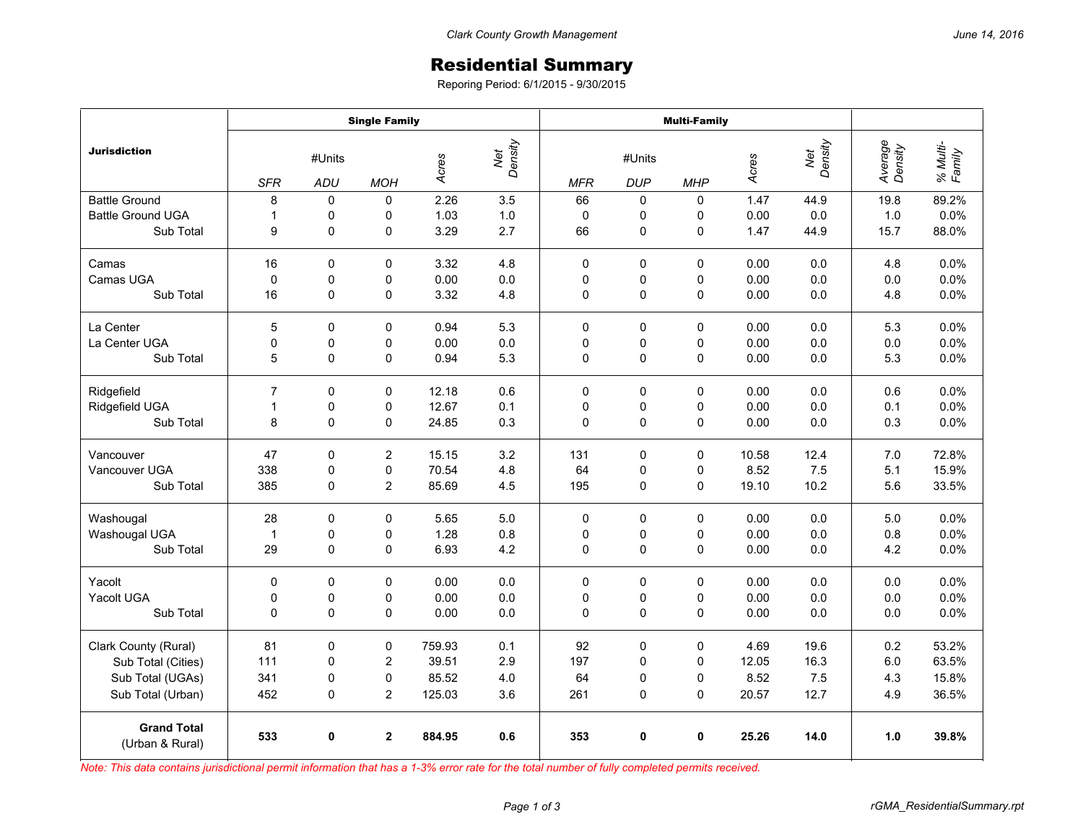## Residential Summary

Reporing Period: 6/1/2015 - 9/30/2015

|                                       | <b>Single Family</b> |             |                |        |                | <b>Multi-Family</b> |             |             |       |                |                    |                    |
|---------------------------------------|----------------------|-------------|----------------|--------|----------------|---------------------|-------------|-------------|-------|----------------|--------------------|--------------------|
| <b>Jurisdiction</b>                   | #Units               |             |                | Acres  | Net<br>Density | #Units              |             |             | Acres | Net<br>Density | Average<br>Density | % Multi-<br>Family |
|                                       | <b>SFR</b>           | ADU         | <b>MOH</b>     |        |                | <b>MFR</b>          | <b>DUP</b>  | <b>MHP</b>  |       |                |                    |                    |
| <b>Battle Ground</b>                  | 8                    | 0           | $\Omega$       | 2.26   | 3.5            | 66                  | 0           | 0           | 1.47  | 44.9           | 19.8               | 89.2%              |
| <b>Battle Ground UGA</b>              | 1                    | 0           | 0              | 1.03   | 1.0            | 0                   | 0           | 0           | 0.00  | 0.0            | 1.0                | 0.0%               |
| Sub Total                             | 9                    | 0           | 0              | 3.29   | 2.7            | 66                  | 0           | 0           | 1.47  | 44.9           | 15.7               | 88.0%              |
| Camas                                 | 16                   | 0           | $\Omega$       | 3.32   | 4.8            | $\Omega$            | $\mathbf 0$ | $\Omega$    | 0.00  | 0.0            | 4.8                | 0.0%               |
| Camas UGA                             | 0                    | $\mathbf 0$ | 0              | 0.00   | 0.0            | 0                   | 0           | 0           | 0.00  | 0.0            | 0.0                | 0.0%               |
| Sub Total                             | 16                   | 0           | 0              | 3.32   | 4.8            | 0                   | 0           | 0           | 0.00  | $0.0\,$        | 4.8                | 0.0%               |
| La Center                             | 5                    | $\mathbf 0$ | 0              | 0.94   | 5.3            | 0                   | 0           | 0           | 0.00  | 0.0            | 5.3                | 0.0%               |
| La Center UGA                         | $\mathsf 0$          | 0           | 0              | 0.00   | 0.0            | 0                   | 0           | 0           | 0.00  | 0.0            | 0.0                | 0.0%               |
| Sub Total                             | 5                    | 0           | 0              | 0.94   | 5.3            | 0                   | 0           | 0           | 0.00  | 0.0            | 5.3                | 0.0%               |
| Ridgefield                            | $\overline{7}$       | 0           | $\Omega$       | 12.18  | 0.6            | $\Omega$            | $\mathbf 0$ | 0           | 0.00  | 0.0            | 0.6                | 0.0%               |
| Ridgefield UGA                        | 1                    | 0           | 0              | 12.67  | 0.1            | 0                   | 0           | 0           | 0.00  | 0.0            | 0.1                | 0.0%               |
| Sub Total                             | 8                    | 0           | 0              | 24.85  | 0.3            | $\Omega$            | 0           | 0           | 0.00  | 0.0            | 0.3                | 0.0%               |
| Vancouver                             | 47                   | 0           | $\overline{2}$ | 15.15  | 3.2            | 131                 | 0           | 0           | 10.58 | 12.4           | 7.0                | 72.8%              |
| Vancouver UGA                         | 338                  | 0           | 0              | 70.54  | 4.8            | 64                  | 0           | 0           | 8.52  | 7.5            | 5.1                | 15.9%              |
| Sub Total                             | 385                  | 0           | 2              | 85.69  | 4.5            | 195                 | 0           | 0           | 19.10 | 10.2           | 5.6                | 33.5%              |
| Washougal                             | 28                   | 0           | 0              | 5.65   | 5.0            | 0                   | $\pmb{0}$   | 0           | 0.00  | 0.0            | 5.0                | 0.0%               |
| Washougal UGA                         | $\mathbf{1}$         | 0           | 0              | 1.28   | 0.8            | 0                   | 0           | 0           | 0.00  | 0.0            | 0.8                | 0.0%               |
| Sub Total                             | 29                   | 0           | 0              | 6.93   | 4.2            | 0                   | 0           | 0           | 0.00  | 0.0            | 4.2                | 0.0%               |
| Yacolt                                | $\mathbf 0$          | $\Omega$    | $\Omega$       | 0.00   | 0.0            | $\Omega$            | $\mathbf 0$ | $\Omega$    | 0.00  | 0.0            | 0.0                | 0.0%               |
| Yacolt UGA                            | 0                    | 0           | 0              | 0.00   | 0.0            | 0                   | 0           | 0           | 0.00  | 0.0            | 0.0                | 0.0%               |
| Sub Total                             | 0                    | $\Omega$    | 0              | 0.00   | 0.0            | $\mathbf 0$         | $\mathbf 0$ | $\mathbf 0$ | 0.00  | 0.0            | 0.0                | 0.0%               |
| Clark County (Rural)                  | 81                   | 0           | $\pmb{0}$      | 759.93 | 0.1            | 92                  | $\pmb{0}$   | 0           | 4.69  | 19.6           | 0.2                | 53.2%              |
| Sub Total (Cities)                    | 111                  | $\mathbf 0$ | $\overline{2}$ | 39.51  | 2.9            | 197                 | 0           | 0           | 12.05 | 16.3           | 6.0                | 63.5%              |
| Sub Total (UGAs)                      | 341                  | 0           | 0              | 85.52  | 4.0            | 64                  | 0           | 0           | 8.52  | 7.5            | 4.3                | 15.8%              |
| Sub Total (Urban)                     | 452                  | 0           | 2              | 125.03 | 3.6            | 261                 | 0           | 0           | 20.57 | 12.7           | 4.9                | 36.5%              |
| <b>Grand Total</b><br>(Urban & Rural) | 533                  | 0           | $\overline{2}$ | 884.95 | 0.6            | 353                 | 0           | 0           | 25.26 | 14.0           | 1.0                | 39.8%              |

*Note: This data contains jurisdictional permit information that has a 1-3% error rate for the total number of fully completed permits received.*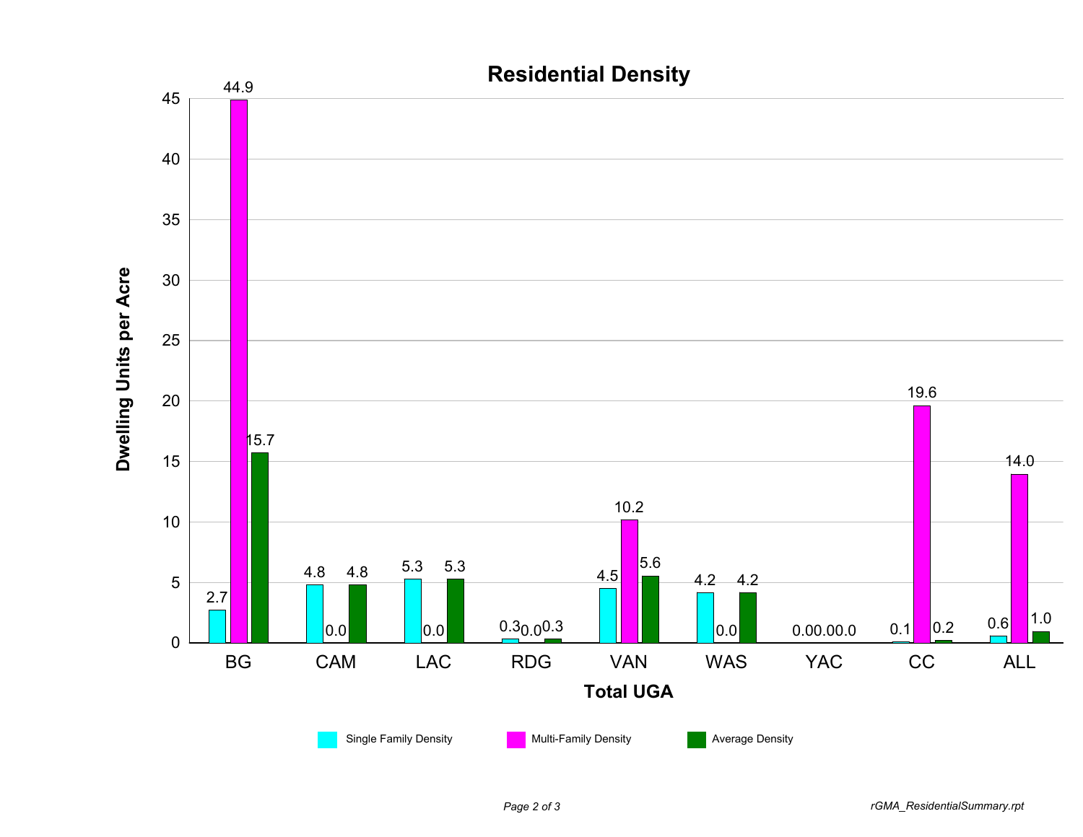